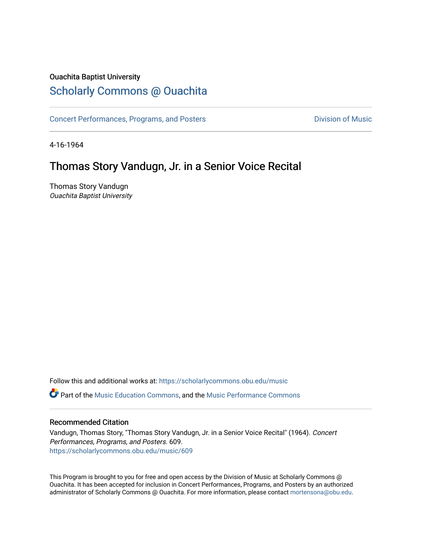## Ouachita Baptist University

# [Scholarly Commons @ Ouachita](https://scholarlycommons.obu.edu/)

[Concert Performances, Programs, and Posters](https://scholarlycommons.obu.edu/music) **Division of Music** Division of Music

4-16-1964

# Thomas Story Vandugn, Jr. in a Senior Voice Recital

Thomas Story Vandugn Ouachita Baptist University

Follow this and additional works at: [https://scholarlycommons.obu.edu/music](https://scholarlycommons.obu.edu/music?utm_source=scholarlycommons.obu.edu%2Fmusic%2F609&utm_medium=PDF&utm_campaign=PDFCoverPages)  **C** Part of the [Music Education Commons,](http://network.bepress.com/hgg/discipline/1246?utm_source=scholarlycommons.obu.edu%2Fmusic%2F609&utm_medium=PDF&utm_campaign=PDFCoverPages) and the Music Performance Commons

### Recommended Citation

Vandugn, Thomas Story, "Thomas Story Vandugn, Jr. in a Senior Voice Recital" (1964). Concert Performances, Programs, and Posters. 609. [https://scholarlycommons.obu.edu/music/609](https://scholarlycommons.obu.edu/music/609?utm_source=scholarlycommons.obu.edu%2Fmusic%2F609&utm_medium=PDF&utm_campaign=PDFCoverPages) 

This Program is brought to you for free and open access by the Division of Music at Scholarly Commons @ Ouachita. It has been accepted for inclusion in Concert Performances, Programs, and Posters by an authorized administrator of Scholarly Commons @ Ouachita. For more information, please contact [mortensona@obu.edu](mailto:mortensona@obu.edu).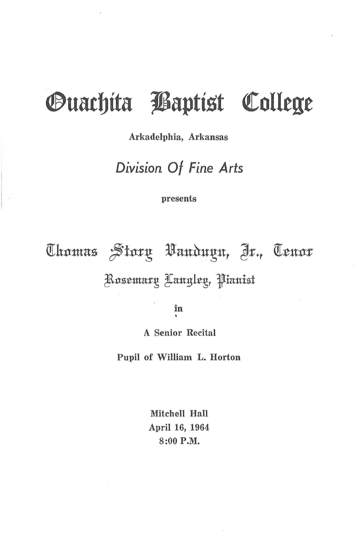# *Ouachita Baptist College*

### Arkadelphia, Arkansas

# Division Of Fine Arts

#### presents

Thomas Story Vanduyn, Jr., Tenor Rosemarų Langleų, Pianist

in

**A Senior Recital** 

Pupil of William L. Horton

Mitchell Hall April 16, 1964 8:00 P.M.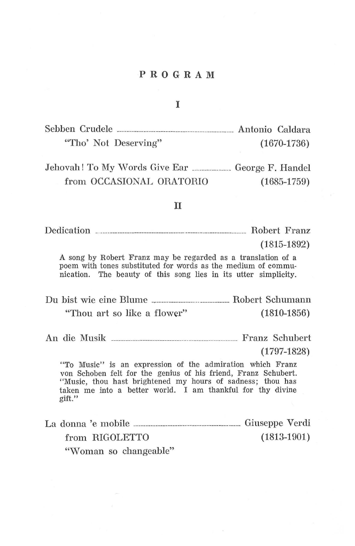### **PROGRAM**

#### I

| Sebben Crudele       | Antonio Caldara |               |
|----------------------|-----------------|---------------|
| "Tho' Not Deserving" |                 | $(1670-1736)$ |

Jehovah! To My Words Give Ear \_\_\_\_\_\_\_\_\_\_\_\_ George F. Handel from OCCASIONAL ORATORIO (1685-1759)

#### II

Dedication \_. ----------------------------------- ------------------------- Robert Franz

(1815-1892)

A song by Robert Franz may be regarded as a translation of a poem with tones substituted for words as the medium of communication. The beauty of this song lies in its utter simplicity.

Du bist wie eine Blume -------------------------------- Robert Schumann "Thou art so like a flower" (1810-1856)

An die Musik ---------------------------------------------------- Franz Schubert

(1797-1828)

"To Music" is an expression of the admiration which Franz von Schaben felt for the genius of his friend, Franz Schubert. "Music, thou hast brightened my hours of sadness; thou has taken me into a better world. I am thankful for thy divine gift."

La donna 'e mobile -------------------------------------------- Giuseppe Verdi from RIGOLETTO "Woman so changeable" (1813-1901)